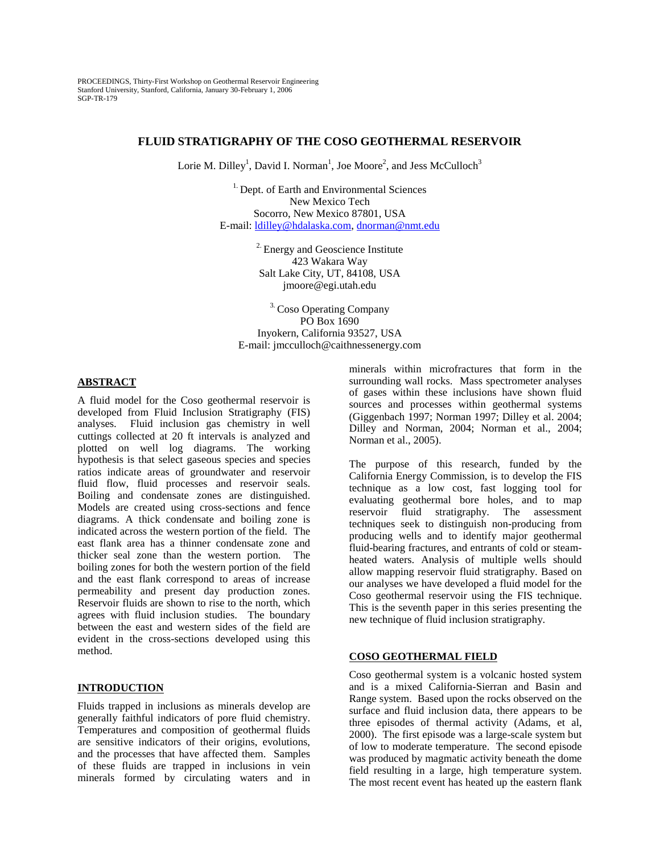PROCEEDINGS, Thirty-First Workshop on Geothermal Reservoir Engineering Stanford University, Stanford, California, January 30-February 1, 2006 SGP-TR-179

# **FLUID STRATIGRAPHY OF THE COSO GEOTHERMAL RESERVOIR**

Lorie M. Dilley<sup>1</sup>, David I. Norman<sup>1</sup>, Joe Moore<sup>2</sup>, and Jess McCulloch<sup>3</sup>

<sup>1.</sup> Dept. of Earth and Environmental Sciences New Mexico Tech Socorro, New Mexico 87801, USA E-mail: ldilley@hdalaska.com, dnorman@nmt.edu

> <sup>2.</sup> Energy and Geoscience Institute 423 Wakara Way Salt Lake City, UT, 84108, USA jmoore@egi.utah.edu

<sup>3.</sup> Coso Operating Company PO Box 1690 Inyokern, California 93527, USA E-mail: jmcculloch@caithnessenergy.com

### **ABSTRACT**

A fluid model for the Coso geothermal reservoir is developed from Fluid Inclusion Stratigraphy (FIS) analyses. Fluid inclusion gas chemistry in well cuttings collected at 20 ft intervals is analyzed and plotted on well log diagrams. The working hypothesis is that select gaseous species and species ratios indicate areas of groundwater and reservoir fluid flow, fluid processes and reservoir seals. Boiling and condensate zones are distinguished. Models are created using cross-sections and fence diagrams. A thick condensate and boiling zone is indicated across the western portion of the field. The east flank area has a thinner condensate zone and thicker seal zone than the western portion. The boiling zones for both the western portion of the field and the east flank correspond to areas of increase permeability and present day production zones. Reservoir fluids are shown to rise to the north, which agrees with fluid inclusion studies. The boundary between the east and western sides of the field are evident in the cross-sections developed using this method.

# **INTRODUCTION**

Fluids trapped in inclusions as minerals develop are generally faithful indicators of pore fluid chemistry. Temperatures and composition of geothermal fluids are sensitive indicators of their origins, evolutions, and the processes that have affected them. Samples of these fluids are trapped in inclusions in vein minerals formed by circulating waters and in minerals within microfractures that form in the surrounding wall rocks. Mass spectrometer analyses of gases within these inclusions have shown fluid sources and processes within geothermal systems (Giggenbach 1997; Norman 1997; Dilley et al. 2004; Dilley and Norman, 2004; Norman et al., 2004; Norman et al., 2005).

The purpose of this research, funded by the California Energy Commission, is to develop the FIS technique as a low cost, fast logging tool for evaluating geothermal bore holes, and to map reservoir fluid stratigraphy. The assessment techniques seek to distinguish non-producing from producing wells and to identify major geothermal fluid-bearing fractures, and entrants of cold or steamheated waters. Analysis of multiple wells should allow mapping reservoir fluid stratigraphy. Based on our analyses we have developed a fluid model for the Coso geothermal reservoir using the FIS technique. This is the seventh paper in this series presenting the new technique of fluid inclusion stratigraphy.

### **COSO GEOTHERMAL FIELD**

Coso geothermal system is a volcanic hosted system and is a mixed California-Sierran and Basin and Range system. Based upon the rocks observed on the surface and fluid inclusion data, there appears to be three episodes of thermal activity (Adams, et al, 2000). The first episode was a large-scale system but of low to moderate temperature. The second episode was produced by magmatic activity beneath the dome field resulting in a large, high temperature system. The most recent event has heated up the eastern flank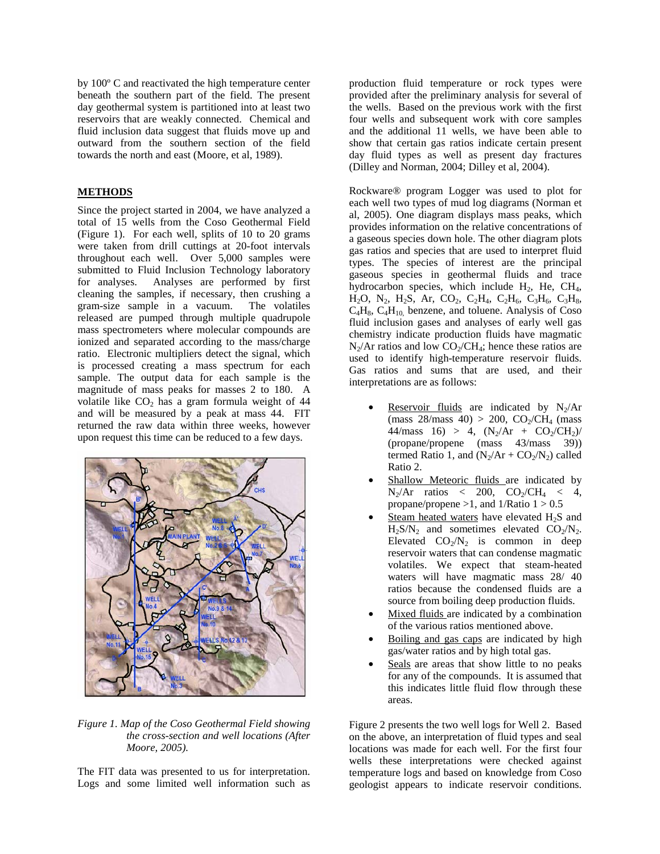by 100º C and reactivated the high temperature center beneath the southern part of the field. The present day geothermal system is partitioned into at least two reservoirs that are weakly connected. Chemical and fluid inclusion data suggest that fluids move up and outward from the southern section of the field towards the north and east (Moore, et al, 1989).

# **METHODS**

Since the project started in 2004, we have analyzed a total of 15 wells from the Coso Geothermal Field (Figure 1). For each well, splits of 10 to 20 grams were taken from drill cuttings at 20-foot intervals throughout each well. Over 5,000 samples were submitted to Fluid Inclusion Technology laboratory for analyses. Analyses are performed by first cleaning the samples, if necessary, then crushing a gram-size sample in a vacuum. The volatiles released are pumped through multiple quadrupole mass spectrometers where molecular compounds are ionized and separated according to the mass/charge ratio. Electronic multipliers detect the signal, which is processed creating a mass spectrum for each sample. The output data for each sample is the magnitude of mass peaks for masses 2 to 180. A volatile like  $CO<sub>2</sub>$  has a gram formula weight of 44 and will be measured by a peak at mass 44. FIT returned the raw data within three weeks, however upon request this time can be reduced to a few days.



*Figure 1. Map of the Coso Geothermal Field showing the cross-section and well locations (After Moore, 2005).* 

The FIT data was presented to us for interpretation. Logs and some limited well information such as

production fluid temperature or rock types were provided after the preliminary analysis for several of the wells. Based on the previous work with the first four wells and subsequent work with core samples and the additional 11 wells, we have been able to show that certain gas ratios indicate certain present day fluid types as well as present day fractures (Dilley and Norman, 2004; Dilley et al, 2004).

Rockware® program Logger was used to plot for each well two types of mud log diagrams (Norman et al, 2005). One diagram displays mass peaks, which provides information on the relative concentrations of a gaseous species down hole. The other diagram plots gas ratios and species that are used to interpret fluid types. The species of interest are the principal gaseous species in geothermal fluids and trace hydrocarbon species, which include  $H_2$ , He, CH<sub>4</sub>,  $H_2O$ ,  $N_2$ ,  $H_2S$ , Ar,  $CO_2$ ,  $C_2H_4$ ,  $C_2H_6$ ,  $C_3H_6$ ,  $C_3H_8$ ,  $C_4H_8$ ,  $C_4H_{10}$  benzene, and toluene. Analysis of Coso fluid inclusion gases and analyses of early well gas chemistry indicate production fluids have magmatic  $N_2/Ar$  ratios and low  $CO_2/CH_4$ ; hence these ratios are used to identify high-temperature reservoir fluids. Gas ratios and sums that are used, and their interpretations are as follows:

- Reservoir fluids are indicated by  $N_2/Ar$ (mass  $28/mass$  40) > 200,  $CO_2/CH_4$  (mass 44/mass 16) > 4,  $(N_2/Ar + CO_2/CH_2)$ (propane/propene (mass 43/mass 39)) termed Ratio 1, and  $(N_2/Ar + CO_2/N_2)$  called Ratio 2.
- Shallow Meteoric fluids are indicated by  $N_2/Ar$  ratios < 200,  $CO_2/CH_4$  < 4, propane/propene  $>1$ , and  $1/Ratio$   $1 > 0.5$
- Steam heated waters have elevated  $H_2S$  and  $H_2S/N_2$  and sometimes elevated  $CO_2/N_2$ . Elevated  $CO<sub>2</sub>/N<sub>2</sub>$  is common in deep reservoir waters that can condense magmatic volatiles. We expect that steam-heated waters will have magmatic mass 28/ 40 ratios because the condensed fluids are a source from boiling deep production fluids.
- Mixed fluids are indicated by a combination of the various ratios mentioned above.
- Boiling and gas caps are indicated by high gas/water ratios and by high total gas.
- Seals are areas that show little to no peaks for any of the compounds. It is assumed that this indicates little fluid flow through these areas.

Figure 2 presents the two well logs for Well 2. Based on the above, an interpretation of fluid types and seal locations was made for each well. For the first four wells these interpretations were checked against temperature logs and based on knowledge from Coso geologist appears to indicate reservoir conditions.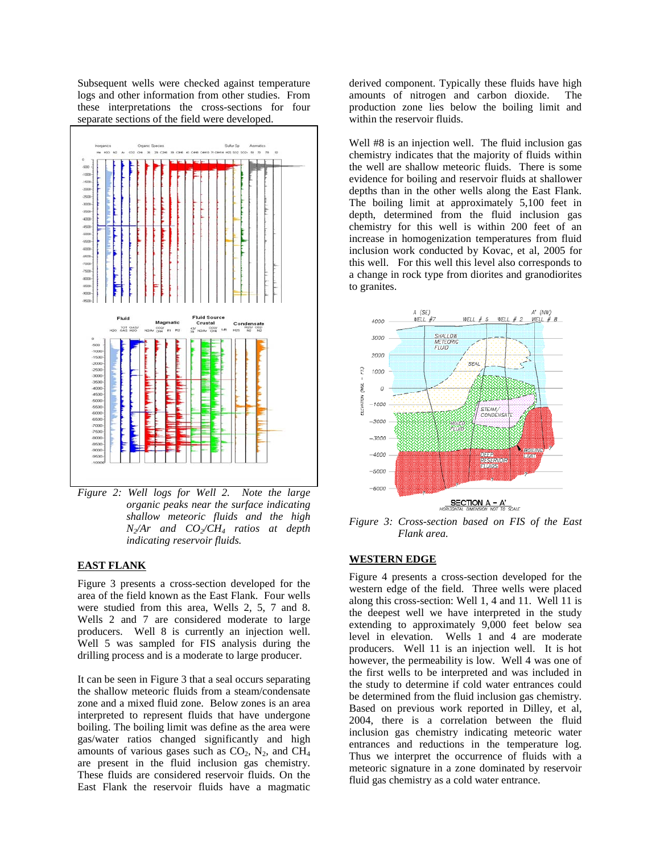Subsequent wells were checked against temperature logs and other information from other studies. From these interpretations the cross-sections for four separate sections of the field were developed.



*Figure 2: Well logs for Well 2. Note the large organic peaks near the surface indicating shallow meteoric fluids and the high N2/Ar and CO2/CH4 ratios at depth indicating reservoir fluids.* 

# **EAST FLANK**

Figure 3 presents a cross-section developed for the area of the field known as the East Flank. Four wells were studied from this area, Wells 2, 5, 7 and 8. Wells 2 and 7 are considered moderate to large producers. Well 8 is currently an injection well. Well 5 was sampled for FIS analysis during the drilling process and is a moderate to large producer.

It can be seen in Figure 3 that a seal occurs separating the shallow meteoric fluids from a steam/condensate zone and a mixed fluid zone. Below zones is an area interpreted to represent fluids that have undergone boiling. The boiling limit was define as the area were gas/water ratios changed significantly and high amounts of various gases such as  $CO<sub>2</sub>$ , N<sub>2</sub>, and CH<sub>4</sub> are present in the fluid inclusion gas chemistry. These fluids are considered reservoir fluids. On the East Flank the reservoir fluids have a magmatic

derived component. Typically these fluids have high amounts of nitrogen and carbon dioxide. The production zone lies below the boiling limit and within the reservoir fluids.

Well #8 is an injection well. The fluid inclusion gas chemistry indicates that the majority of fluids within the well are shallow meteoric fluids. There is some evidence for boiling and reservoir fluids at shallower depths than in the other wells along the East Flank. The boiling limit at approximately 5,100 feet in depth, determined from the fluid inclusion gas chemistry for this well is within 200 feet of an increase in homogenization temperatures from fluid inclusion work conducted by Kovac, et al, 2005 for this well. For this well this level also corresponds to a change in rock type from diorites and granodiorites to granites.



*Figure 3: Cross-section based on FIS of the East Flank area.* 

### **WESTERN EDGE**

Figure 4 presents a cross-section developed for the western edge of the field. Three wells were placed along this cross-section: Well 1, 4 and 11. Well 11 is the deepest well we have interpreted in the study extending to approximately 9,000 feet below sea level in elevation. Wells 1 and 4 are moderate producers. Well 11 is an injection well. It is hot however, the permeability is low. Well 4 was one of the first wells to be interpreted and was included in the study to determine if cold water entrances could be determined from the fluid inclusion gas chemistry. Based on previous work reported in Dilley, et al, 2004, there is a correlation between the fluid inclusion gas chemistry indicating meteoric water entrances and reductions in the temperature log. Thus we interpret the occurrence of fluids with a meteoric signature in a zone dominated by reservoir fluid gas chemistry as a cold water entrance.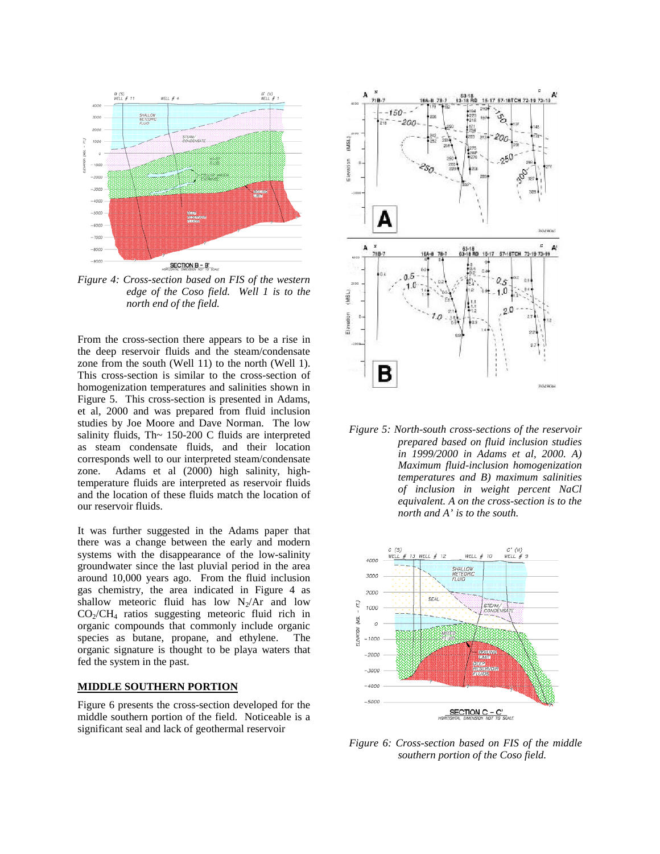

*Figure 4: Cross-section based on FIS of the western edge of the Coso field. Well 1 is to the north end of the field.* 

From the cross-section there appears to be a rise in the deep reservoir fluids and the steam/condensate zone from the south (Well 11) to the north (Well 1). This cross-section is similar to the cross-section of homogenization temperatures and salinities shown in Figure 5. This cross-section is presented in Adams, et al, 2000 and was prepared from fluid inclusion studies by Joe Moore and Dave Norman. The low salinity fluids, Th $\sim$  150-200 C fluids are interpreted as steam condensate fluids, and their location corresponds well to our interpreted steam/condensate zone. Adams et al (2000) high salinity, hightemperature fluids are interpreted as reservoir fluids and the location of these fluids match the location of our reservoir fluids.

It was further suggested in the Adams paper that there was a change between the early and modern systems with the disappearance of the low-salinity groundwater since the last pluvial period in the area around 10,000 years ago. From the fluid inclusion gas chemistry, the area indicated in Figure 4 as shallow meteoric fluid has low  $N_2/Ar$  and low  $CO_2/CH_4$  ratios suggesting meteoric fluid rich in organic compounds that commonly include organic species as butane, propane, and ethylene. The organic signature is thought to be playa waters that fed the system in the past.

# **MIDDLE SOUTHERN PORTION**

Figure 6 presents the cross-section developed for the middle southern portion of the field. Noticeable is a significant seal and lack of geothermal reservoir



*Figure 5: North-south cross-sections of the reservoir prepared based on fluid inclusion studies in 1999/2000 in Adams et al, 2000. A) Maximum fluid-inclusion homogenization temperatures and B) maximum salinities of inclusion in weight percent NaCl equivalent. A on the cross-section is to the north and A' is to the south.* 



*Figure 6: Cross-section based on FIS of the middle southern portion of the Coso field.*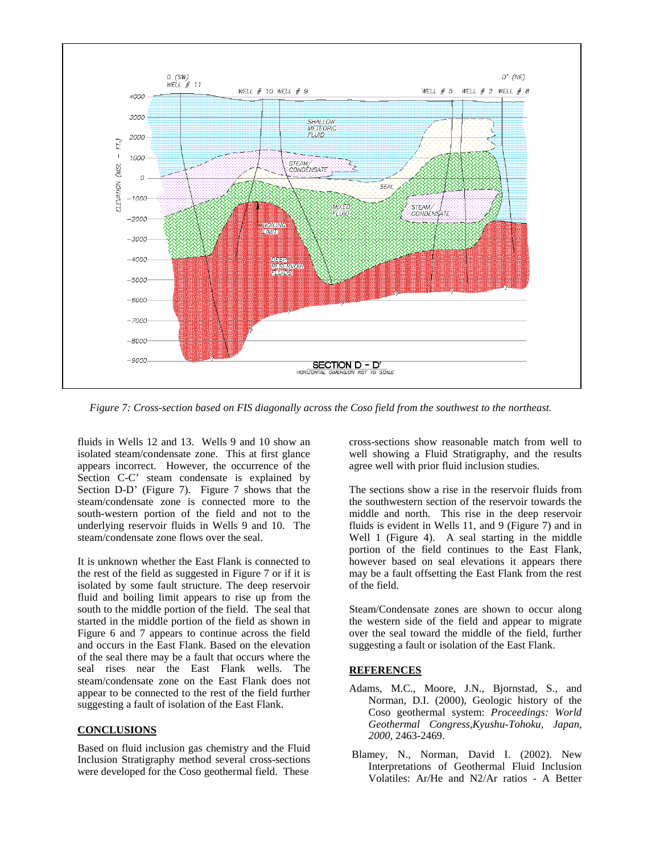

*Figure 7: Cross-section based on FIS diagonally across the Coso field from the southwest to the northeast.*

fluids in Wells 12 and 13. Wells 9 and 10 show an isolated steam/condensate zone. This at first glance appears incorrect. However, the occurrence of the Section C-C' steam condensate is explained by Section D-D' (Figure 7). Figure 7 shows that the steam/condensate zone is connected more to the south-western portion of the field and not to the underlying reservoir fluids in Wells 9 and 10. The steam/condensate zone flows over the seal.

It is unknown whether the East Flank is connected to the rest of the field as suggested in Figure 7 or if it is isolated by some fault structure. The deep reservoir fluid and boiling limit appears to rise up from the south to the middle portion of the field. The seal that started in the middle portion of the field as shown in Figure 6 and 7 appears to continue across the field and occurs in the East Flank. Based on the elevation of the seal there may be a fault that occurs where the seal rises near the East Flank wells. The steam/condensate zone on the East Flank does not appear to be connected to the rest of the field further suggesting a fault of isolation of the East Flank.

# **CONCLUSIONS**

Based on fluid inclusion gas chemistry and the Fluid Inclusion Stratigraphy method several cross-sections were developed for the Coso geothermal field. These

cross-sections show reasonable match from well to well showing a Fluid Stratigraphy, and the results agree well with prior fluid inclusion studies.

The sections show a rise in the reservoir fluids from the southwestern section of the reservoir towards the middle and north. This rise in the deep reservoir fluids is evident in Wells 11, and 9 (Figure 7) and in Well 1 (Figure 4). A seal starting in the middle portion of the field continues to the East Flank, however based on seal elevations it appears there may be a fault offsetting the East Flank from the rest of the field.

Steam/Condensate zones are shown to occur along the western side of the field and appear to migrate over the seal toward the middle of the field, further suggesting a fault or isolation of the East Flank.

# **REFERENCES**

- Adams, M.C., Moore, J.N., Bjornstad, S., and Norman, D.I. (2000), Geologic history of the Coso geothermal system: *Proceedings: World Geothermal Congress,Kyushu-Tohoku, Japan, 2000,* 2463-2469.
- Blamey, N., Norman, David I. (2002). New Interpretations of Geothermal Fluid Inclusion Volatiles: Ar/He and N2/Ar ratios - A Better